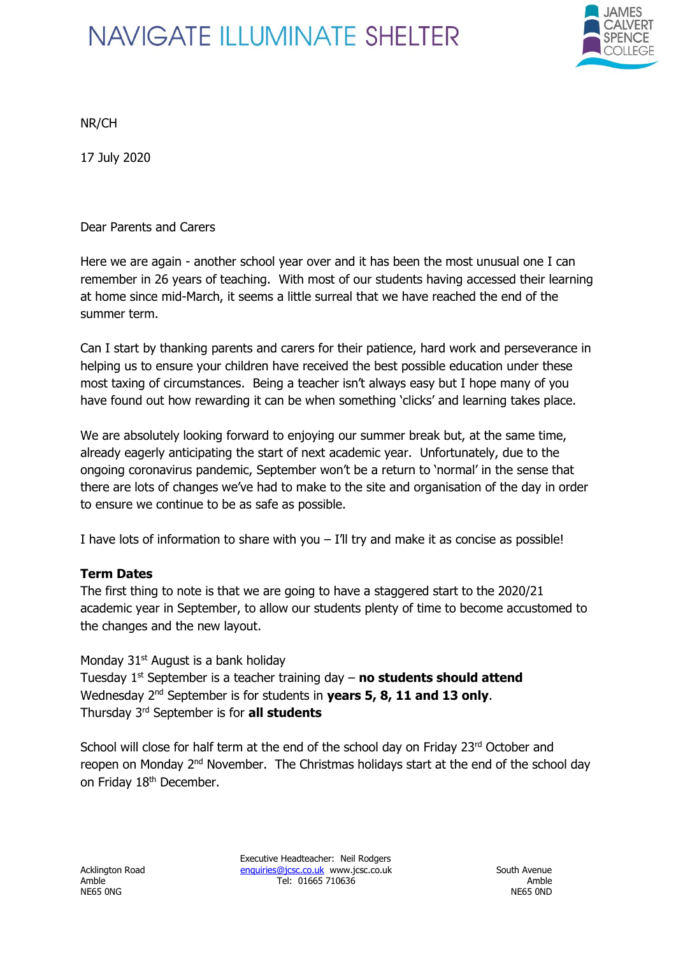

NR/CH

17 July 2020

Dear Parents and Carers

Here we are again - another school year over and it has been the most unusual one I can remember in 26 years of teaching. With most of our students having accessed their learning at home since mid-March, it seems a little surreal that we have reached the end of the summer term.

Can I start by thanking parents and carers for their patience, hard work and perseverance in helping us to ensure your children have received the best possible education under these most taxing of circumstances. Being a teacher isn't always easy but I hope many of you have found out how rewarding it can be when something 'clicks' and learning takes place.

We are absolutely looking forward to enjoying our summer break but, at the same time, already eagerly anticipating the start of next academic year. Unfortunately, due to the ongoing coronavirus pandemic, September won't be a return to 'normal' in the sense that there are lots of changes we've had to make to the site and organisation of the day in order to ensure we continue to be as safe as possible.

I have lots of information to share with you  $-$  I'll try and make it as concise as possible!

#### **Term Dates**

The first thing to note is that we are going to have a staggered start to the 2020/21 academic year in September, to allow our students plenty of time to become accustomed to the changes and the new layout.

Monday  $31<sup>st</sup>$  August is a bank holiday

Tuesday 1st September is a teacher training day – **no students should attend** Wednesday 2nd September is for students in **years 5, 8, 11 and 13 only**. Thursday 3rd September is for **all students**

School will close for half term at the end of the school day on Friday 23rd October and reopen on Monday 2<sup>nd</sup> November. The Christmas holidays start at the end of the school day on Friday 18<sup>th</sup> December.

Executive Headteacher: Neil Rodgers Acklington Road [enquiries@jcsc.co.uk](mailto:enquiries@jcsc.co.uk) www.jcsc.co.uk South Avenue<br>Amble 11665 710636 Amble Tel: 01665 710636 Amble Ambre Amble Ambre Amble Ambre Amble Ambre Amble Ambre Ambre Amble Ambre Ambre Ambre Ambre Ambre Ambre Ambre Ambre Ambre Ambre Ambre Ambre Ambre Ambre Ambre Ambre Ambre Ambre Ambre Ambre Ambre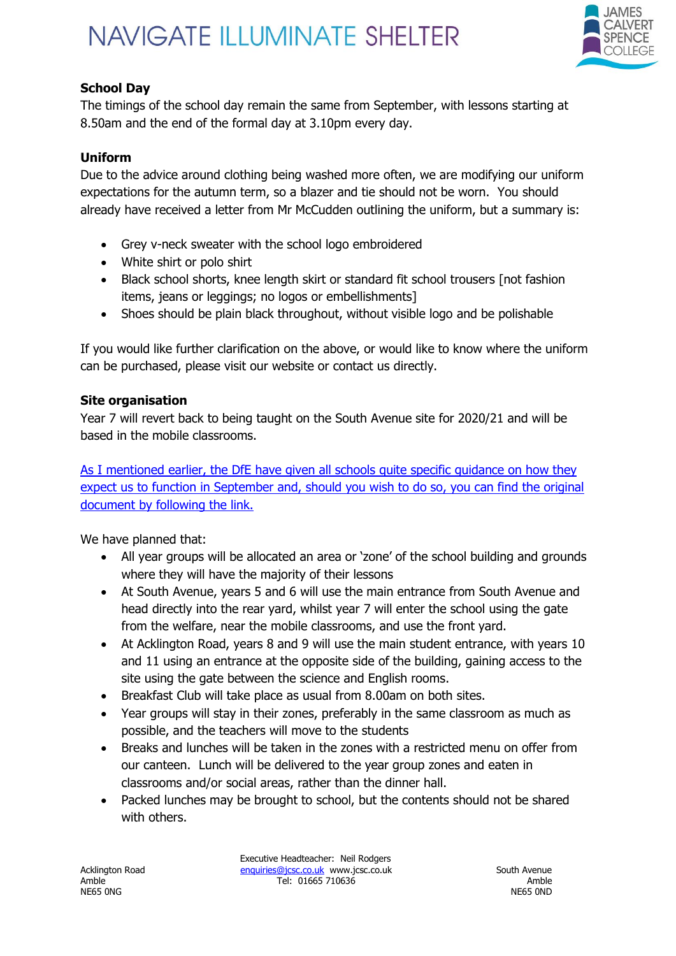

### **School Day**

The timings of the school day remain the same from September, with lessons starting at 8.50am and the end of the formal day at 3.10pm every day.

#### **Uniform**

Due to the advice around clothing being washed more often, we are modifying our uniform expectations for the autumn term, so a blazer and tie should not be worn. You should already have received a letter from Mr McCudden outlining the uniform, but a summary is:

- Grey v-neck sweater with the school logo embroidered
- White shirt or polo shirt
- Black school shorts, knee length skirt or standard fit school trousers [not fashion items, jeans or leggings; no logos or embellishments]
- Shoes should be plain black throughout, without visible logo and be polishable

If you would like further clarification on the above, or would like to know where the uniform can be purchased, please visit our website or contact us directly.

#### **Site organisation**

Year 7 will revert back to being taught on the South Avenue site for 2020/21 and will be based in the mobile classrooms.

[As I mentioned earlier, the DfE have given all schools quite specific guidance on how they](https://www.gov.uk/government/publications/actions-for-schools-during-the-coronavirus-outbreak/guidance-for-full-opening-schools)  [expect us to function in September and, should you wish to do so, you can find the original](https://www.gov.uk/government/publications/actions-for-schools-during-the-coronavirus-outbreak/guidance-for-full-opening-schools)  [document by following the link.](https://www.gov.uk/government/publications/actions-for-schools-during-the-coronavirus-outbreak/guidance-for-full-opening-schools)

We have planned that:

- All year groups will be allocated an area or 'zone' of the school building and grounds where they will have the majority of their lessons
- At South Avenue, years 5 and 6 will use the main entrance from South Avenue and head directly into the rear yard, whilst year 7 will enter the school using the gate from the welfare, near the mobile classrooms, and use the front yard.
- At Acklington Road, years 8 and 9 will use the main student entrance, with years 10 and 11 using an entrance at the opposite side of the building, gaining access to the site using the gate between the science and English rooms.
- Breakfast Club will take place as usual from 8.00am on both sites.
- Year groups will stay in their zones, preferably in the same classroom as much as possible, and the teachers will move to the students
- Breaks and lunches will be taken in the zones with a restricted menu on offer from our canteen. Lunch will be delivered to the year group zones and eaten in classrooms and/or social areas, rather than the dinner hall.
- Packed lunches may be brought to school, but the contents should not be shared with others.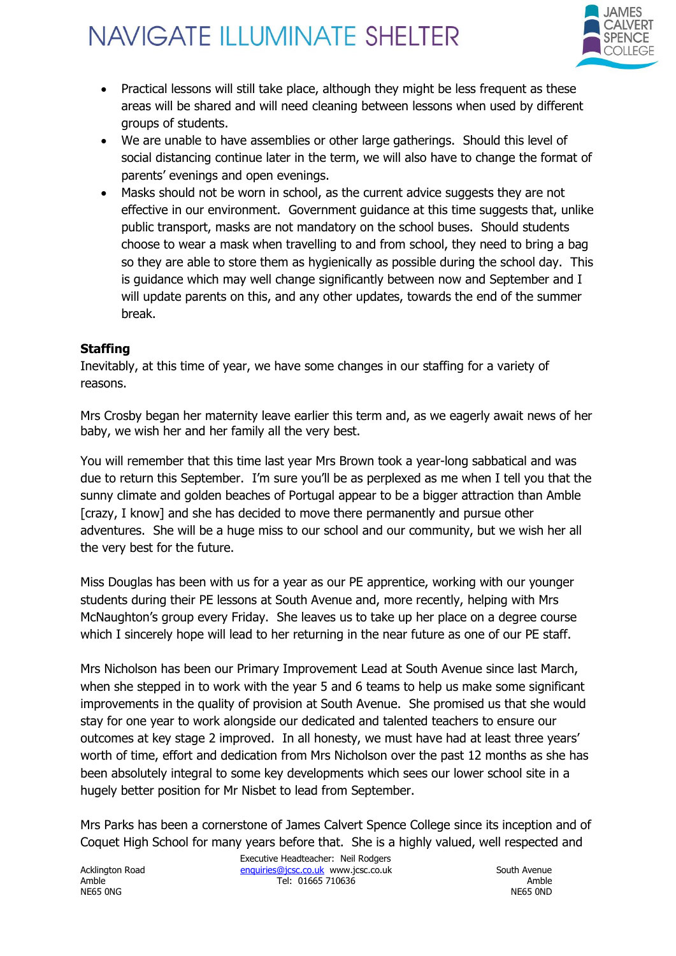

- Practical lessons will still take place, although they might be less frequent as these areas will be shared and will need cleaning between lessons when used by different groups of students.
- We are unable to have assemblies or other large gatherings. Should this level of social distancing continue later in the term, we will also have to change the format of parents' evenings and open evenings.
- Masks should not be worn in school, as the current advice suggests they are not effective in our environment. Government guidance at this time suggests that, unlike public transport, masks are not mandatory on the school buses. Should students choose to wear a mask when travelling to and from school, they need to bring a bag so they are able to store them as hygienically as possible during the school day. This is guidance which may well change significantly between now and September and I will update parents on this, and any other updates, towards the end of the summer break.

#### **Staffing**

Inevitably, at this time of year, we have some changes in our staffing for a variety of reasons.

Mrs Crosby began her maternity leave earlier this term and, as we eagerly await news of her baby, we wish her and her family all the very best.

You will remember that this time last year Mrs Brown took a year-long sabbatical and was due to return this September. I'm sure you'll be as perplexed as me when I tell you that the sunny climate and golden beaches of Portugal appear to be a bigger attraction than Amble [crazy, I know] and she has decided to move there permanently and pursue other adventures. She will be a huge miss to our school and our community, but we wish her all the very best for the future.

Miss Douglas has been with us for a year as our PE apprentice, working with our younger students during their PE lessons at South Avenue and, more recently, helping with Mrs McNaughton's group every Friday. She leaves us to take up her place on a degree course which I sincerely hope will lead to her returning in the near future as one of our PE staff.

Mrs Nicholson has been our Primary Improvement Lead at South Avenue since last March, when she stepped in to work with the year 5 and 6 teams to help us make some significant improvements in the quality of provision at South Avenue. She promised us that she would stay for one year to work alongside our dedicated and talented teachers to ensure our outcomes at key stage 2 improved. In all honesty, we must have had at least three years' worth of time, effort and dedication from Mrs Nicholson over the past 12 months as she has been absolutely integral to some key developments which sees our lower school site in a hugely better position for Mr Nisbet to lead from September.

Mrs Parks has been a cornerstone of James Calvert Spence College since its inception and of Coquet High School for many years before that. She is a highly valued, well respected and

NE65 0NG NE65 0ND

Executive Headteacher: Neil Rodgers Acklington Road <u>enquiries@jcsc.co.uk</u> www.jcsc.co.uk South Avenue Amble Tel: 01665 710636 Amble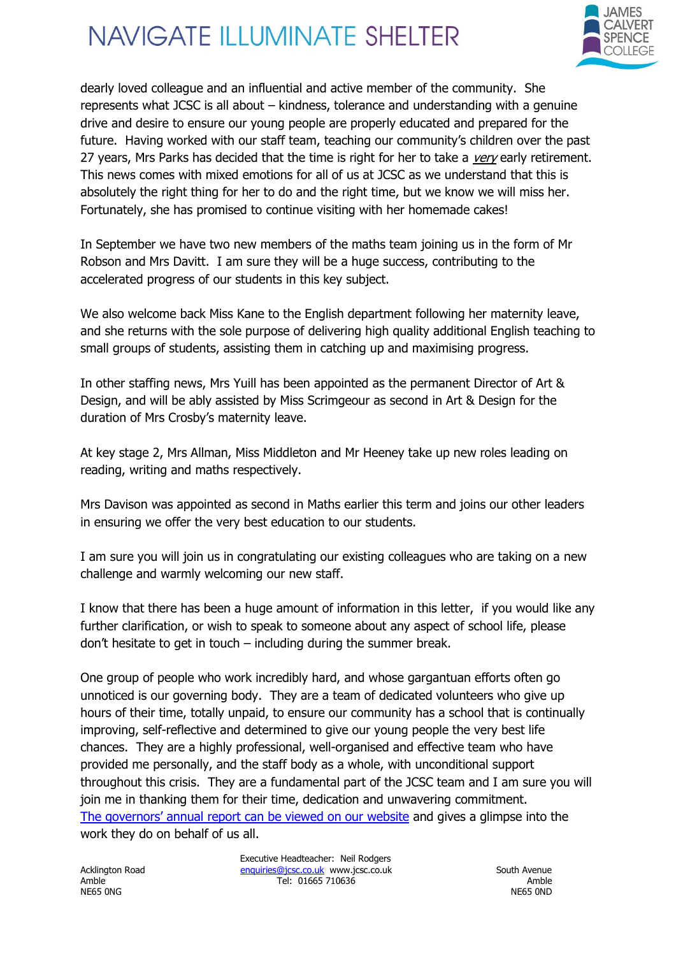

dearly loved colleague and an influential and active member of the community. She represents what JCSC is all about – kindness, tolerance and understanding with a genuine drive and desire to ensure our young people are properly educated and prepared for the future. Having worked with our staff team, teaching our community's children over the past 27 years, Mrs Parks has decided that the time is right for her to take a very early retirement. This news comes with mixed emotions for all of us at JCSC as we understand that this is absolutely the right thing for her to do and the right time, but we know we will miss her. Fortunately, she has promised to continue visiting with her homemade cakes!

In September we have two new members of the maths team joining us in the form of Mr Robson and Mrs Davitt. I am sure they will be a huge success, contributing to the accelerated progress of our students in this key subject.

We also welcome back Miss Kane to the English department following her maternity leave, and she returns with the sole purpose of delivering high quality additional English teaching to small groups of students, assisting them in catching up and maximising progress.

In other staffing news, Mrs Yuill has been appointed as the permanent Director of Art & Design, and will be ably assisted by Miss Scrimgeour as second in Art & Design for the duration of Mrs Crosby's maternity leave.

At key stage 2, Mrs Allman, Miss Middleton and Mr Heeney take up new roles leading on reading, writing and maths respectively.

Mrs Davison was appointed as second in Maths earlier this term and joins our other leaders in ensuring we offer the very best education to our students.

I am sure you will join us in congratulating our existing colleagues who are taking on a new challenge and warmly welcoming our new staff.

I know that there has been a huge amount of information in this letter, if you would like any further clarification, or wish to speak to someone about any aspect of school life, please don't hesitate to get in touch – including during the summer break.

One group of people who work incredibly hard, and whose gargantuan efforts often go unnoticed is our governing body. They are a team of dedicated volunteers who give up hours of their time, totally unpaid, to ensure our community has a school that is continually improving, self-reflective and determined to give our young people the very best life chances. They are a highly professional, well-organised and effective team who have provided me personally, and the staff body as a whole, with unconditional support throughout this crisis. They are a fundamental part of the JCSC team and I am sure you will join me in thanking them for their time, dedication and unwavering commitment. [The governors' annual report can be viewed on our website](https://www.jcsc.co.uk/wp-content/uploads/2020/07/Governing-Body-Annual-Report-2020.pdf) and gives a glimpse into the work they do on behalf of us all.

Executive Headteacher: Neil Rodgers Acklington Road [enquiries@jcsc.co.uk](mailto:enquiries@jcsc.co.uk) www.jcsc.co.uk South Avenue<br>Amble 11665 710636 Amble Tel: 01665 710636 Amble Ambre Amble Ambre Amble Amble Ambre Amble Amble Ambre Amble Ambre Ambre Amble Ambre Ambre Ambre Ambre Ambre Ambre Ambre Ambre Ambre Ambre Ambre Ambre Ambre Ambre Ambre Ambre Ambre Ambre Ambre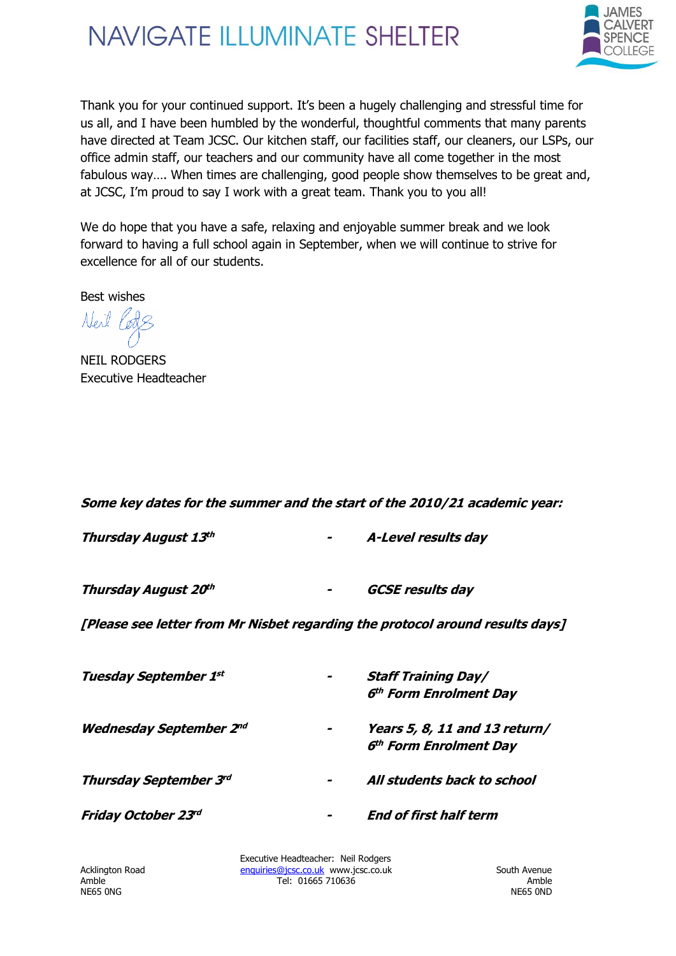

Thank you for your continued support. It's been a hugely challenging and stressful time for us all, and I have been humbled by the wonderful, thoughtful comments that many parents have directed at Team JCSC. Our kitchen staff, our facilities staff, our cleaners, our LSPs, our office admin staff, our teachers and our community have all come together in the most fabulous way…. When times are challenging, good people show themselves to be great and, at JCSC, I'm proud to say I work with a great team. Thank you to you all!

We do hope that you have a safe, relaxing and enjoyable summer break and we look forward to having a full school again in September, when we will continue to strive for excellence for all of our students.

Best wishes

Neil Pods

NEIL RODGERS Executive Headteacher

#### **Some key dates for the summer and the start of the 2010/21 academic year:**

| Thursday August 13th | $\sim$ | A-Level results day     |
|----------------------|--------|-------------------------|
| Thursday August 20th | $\sim$ | <b>GCSE results day</b> |

**[Please see letter from Mr Nisbet regarding the protocol around results days]**

| <b>Tuesday September 1st</b>   | $\overline{\phantom{a}}$ | <b>Staff Training Day/</b><br>6 <sup>th</sup> Form Enrolment Day    |
|--------------------------------|--------------------------|---------------------------------------------------------------------|
| <b>Wednesday September 2nd</b> |                          | Years 5, 8, 11 and 13 return/<br>6 <sup>th</sup> Form Enrolment Day |
| <b>Thursday September 3rd</b>  | -                        | All students back to school                                         |
| Friday October 23rd            |                          | <b>End of first half term</b>                                       |

NE65 0NG NE65 0ND

Executive Headteacher: Neil Rodgers Acklington Road [enquiries@jcsc.co.uk](mailto:enquiries@jcsc.co.uk) www.jcsc.co.uk South Avenue<br>Amble 11665 710636 Amble Tel: 01665 710636 Amble NE65 ONG NE65 ONG